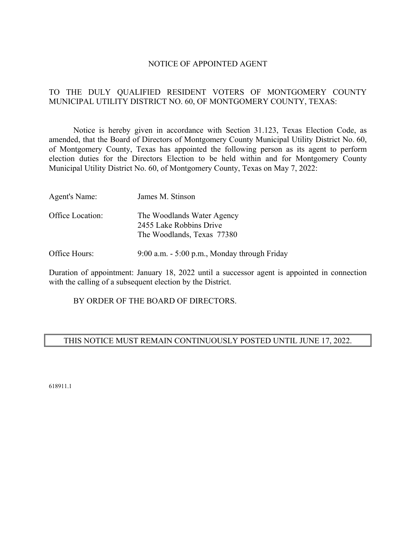#### NOTICE OF APPOINTED AGENT

# TO THE DULY QUALIFIED RESIDENT VOTERS OF MONTGOMERY COUNTY MUNICIPAL UTILITY DISTRICT NO. 60, OF MONTGOMERY COUNTY, TEXAS:

 Notice is hereby given in accordance with Section 31.123, Texas Election Code, as amended, that the Board of Directors of Montgomery County Municipal Utility District No. 60, of Montgomery County, Texas has appointed the following person as its agent to perform election duties for the Directors Election to be held within and for Montgomery County Municipal Utility District No. 60, of Montgomery County, Texas on May 7, 2022:

| Agent's Name:    | James M. Stinson                                                                    |
|------------------|-------------------------------------------------------------------------------------|
| Office Location: | The Woodlands Water Agency<br>2455 Lake Robbins Drive<br>The Woodlands, Texas 77380 |

Office Hours: 9:00 a.m. - 5:00 p.m., Monday through Friday

Duration of appointment: January 18, 2022 until a successor agent is appointed in connection with the calling of a subsequent election by the District.

BY ORDER OF THE BOARD OF DIRECTORS.

# THIS NOTICE MUST REMAIN CONTINUOUSLY POSTED UNTIL JUNE 17, 2022.

618911.1